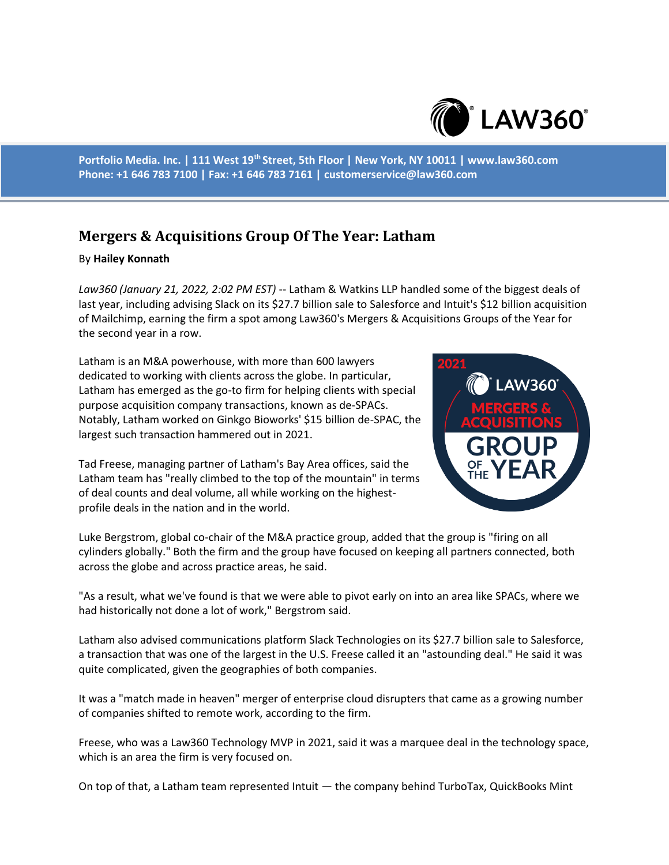

**Portfolio Media. Inc. | 111 West 19th Street, 5th Floor | New York, NY 10011 | www.law360.com Phone: +1 646 783 7100 | Fax: +1 646 783 7161 | customerservice@law360.com**

## **Mergers & Acquisitions Group Of The Year: Latham**

## By **Hailey Konnath**

*Law360 (January 21, 2022, 2:02 PM EST)* -- Latham & Watkins LLP handled some of the biggest deals of last year, including advising Slack on its \$27.7 billion sale to Salesforce and Intuit's \$12 billion acquisition of Mailchimp, earning the firm a spot among Law360's Mergers & Acquisitions Groups of the Year for the second year in a row.

Latham is an M&A powerhouse, with more than 600 lawyers dedicated to working with clients across the globe. In particular, Latham has emerged as the go-to firm for helping clients with special purpose acquisition company transactions, known as de-SPACs. Notably, Latham worked on Ginkgo Bioworks' \$15 billion de-SPAC, the largest such transaction hammered out in 2021.

Tad Freese, managing partner of Latham's Bay Area offices, said the Latham team has "really climbed to the top of the mountain" in terms of deal counts and deal volume, all while working on the highestprofile deals in the nation and in the world.



Luke Bergstrom, global co-chair of the M&A practice group, added that the group is "firing on all cylinders globally." Both the firm and the group have focused on keeping all partners connected, both across the globe and across practice areas, he said.

"As a result, what we've found is that we were able to pivot early on into an area like SPACs, where we had historically not done a lot of work," Bergstrom said.

Latham also advised communications platform Slack Technologies on its \$27.7 billion sale to Salesforce, a transaction that was one of the largest in the U.S. Freese called it an "astounding deal." He said it was quite complicated, given the geographies of both companies.

It was a "match made in heaven" merger of enterprise cloud disrupters that came as a growing number of companies shifted to remote work, according to the firm.

Freese, who was a Law360 Technology MVP in 2021, said it was a marquee deal in the technology space, which is an area the firm is very focused on.

On top of that, a Latham team represented Intuit — the company behind TurboTax, QuickBooks Mint